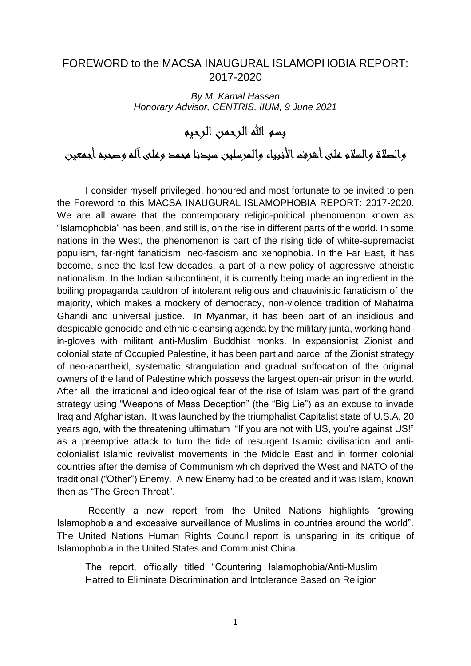## FOREWORD to the MACSA INAUGURAL ISLAMOPHOBIA REPORT: 2017-2020

*By M. Kamal Hassan Honorary Advisor, CENTRIS, IIUM, 9 June 2021*

بسم الله الرحمن الرحيم

والصالة والسالم على أشرف األنبياء والمرسلين سيدنا محمد وعلى آله وصحبه أجمعين

I consider myself privileged, honoured and most fortunate to be invited to pen the Foreword to this MACSA INAUGURAL ISLAMOPHOBIA REPORT: 2017-2020. We are all aware that the contemporary religio-political phenomenon known as "Islamophobia" has been, and still is, on the rise in different parts of the world. In some nations in the West, the phenomenon is part of the rising tide of white-supremacist populism, far-right fanaticism, neo-fascism and xenophobia. In the Far East, it has become, since the last few decades, a part of a new policy of aggressive atheistic nationalism. In the Indian subcontinent, it is currently being made an ingredient in the boiling propaganda cauldron of intolerant religious and chauvinistic fanaticism of the majority, which makes a mockery of democracy, non-violence tradition of Mahatma Ghandi and universal justice. In Myanmar, it has been part of an insidious and despicable genocide and ethnic-cleansing agenda by the military junta, working handin-gloves with militant anti-Muslim Buddhist monks. In expansionist Zionist and colonial state of Occupied Palestine, it has been part and parcel of the Zionist strategy of neo-apartheid, systematic strangulation and gradual suffocation of the original owners of the land of Palestine which possess the largest open-air prison in the world. After all, the irrational and ideological fear of the rise of Islam was part of the grand strategy using "Weapons of Mass Deception" (the "Big Lie") as an excuse to invade Iraq and Afghanistan. It was launched by the triumphalist Capitalist state of U.S.A. 20 years ago, with the threatening ultimatum "If you are not with US, you're against US!" as a preemptive attack to turn the tide of resurgent Islamic civilisation and anticolonialist Islamic revivalist movements in the Middle East and in former colonial countries after the demise of Communism which deprived the West and NATO of the traditional ("Other") Enemy. A new Enemy had to be created and it was Islam, known then as "The Green Threat".

Recently a new report from the United Nations highlights "growing Islamophobia and excessive surveillance of Muslims in countries around the world". The United Nations Human Rights Council report is unsparing in its critique of Islamophobia in the United States and Communist China.

The report, officially titled "Countering Islamophobia/Anti-Muslim Hatred to Eliminate Discrimination and Intolerance Based on Religion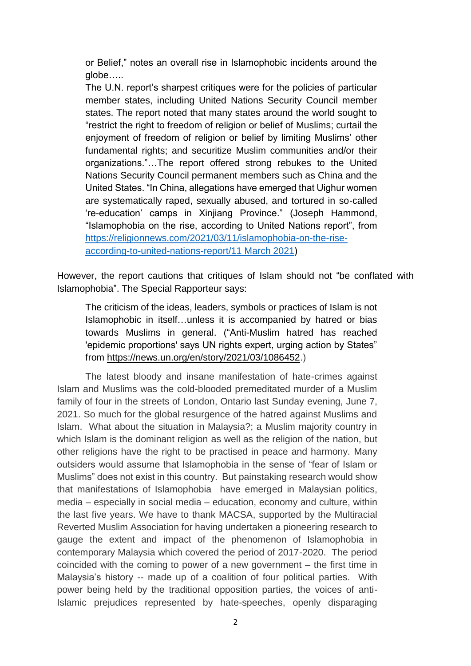or Belief," notes an overall rise in Islamophobic incidents around the globe…..

The U.N. report's sharpest critiques were for the policies of particular member states, including United Nations Security Council member states. The report noted that many states around the world sought to "restrict the right to freedom of religion or belief of Muslims; curtail the enjoyment of freedom of religion or belief by limiting Muslims' other fundamental rights; and securitize Muslim communities and/or their organizations."…The report offered strong rebukes to the United Nations Security Council permanent members such as China and the United States. "In China, allegations have emerged that Uighur women are systematically raped, sexually abused, and tortured in so-called 're-education' camps in Xinjiang Province." (Joseph Hammond, "Islamophobia on the rise, according to United Nations report", from [https://religionnews.com/2021/03/11/islamophobia-on-the-rise](https://religionnews.com/2021/03/11/islamophobia-on-the-rise-according-to-united-nations-report/11%20March%202021)[according-to-united-nations-report/11 March 2021\)](https://religionnews.com/2021/03/11/islamophobia-on-the-rise-according-to-united-nations-report/11%20March%202021)

However, the report cautions that critiques of Islam should not "be conflated with Islamophobia". The Special Rapporteur says:

The criticism of the ideas, leaders, symbols or practices of Islam is not Islamophobic in itself…unless it is accompanied by hatred or bias towards Muslims in general. ("Anti-Muslim hatred has reached 'epidemic proportions' says UN rights expert, urging action by States" from [https://news.un.org/en/story/2021/03/1086452.](https://news.un.org/en/story/2021/03/1086452))

The latest bloody and insane manifestation of hate-crimes against Islam and Muslims was the cold-blooded premeditated murder of a Muslim family of four in the streets of London, Ontario last Sunday evening, June 7, 2021. So much for the global resurgence of the hatred against Muslims and Islam. What about the situation in Malaysia?; a Muslim majority country in which Islam is the dominant religion as well as the religion of the nation, but other religions have the right to be practised in peace and harmony. Many outsiders would assume that Islamophobia in the sense of "fear of Islam or Muslims" does not exist in this country. But painstaking research would show that manifestations of Islamophobia have emerged in Malaysian politics, media – especially in social media – education, economy and culture, within the last five years. We have to thank MACSA, supported by the Multiracial Reverted Muslim Association for having undertaken a pioneering research to gauge the extent and impact of the phenomenon of Islamophobia in contemporary Malaysia which covered the period of 2017-2020. The period coincided with the coming to power of a new government – the first time in Malaysia's history -- made up of a coalition of four political parties. With power being held by the traditional opposition parties, the voices of anti-Islamic prejudices represented by hate-speeches, openly disparaging